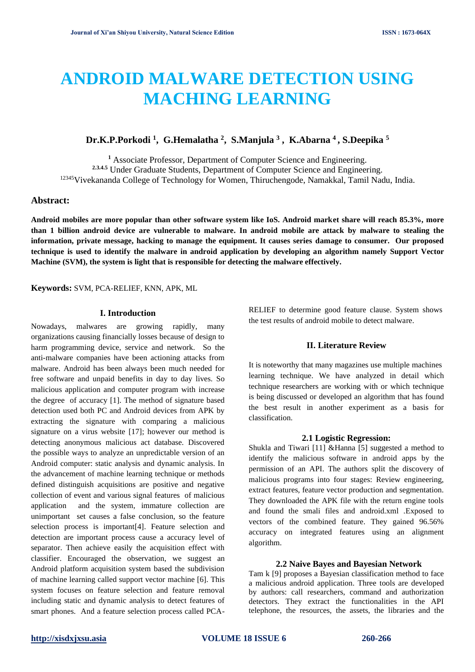# **ANDROID MALWARE DETECTION USING MACHING LEARNING**

## **Dr.K.P.Porkodi <sup>1</sup> , G.Hemalatha <sup>2</sup> , S.Manjula <sup>3</sup> , K.Abarna <sup>4</sup>, S.Deepika <sup>5</sup>**

**<sup>1</sup>** Associate Professor, Department of Computer Science and Engineering. **2.3.4.5** Under Graduate Students, Department of Computer Science and Engineering. <sup>12345</sup>Vivekananda College of Technology for Women, Thiruchengode, Namakkal, Tamil Nadu, India.

## **Abstract:**

**Android mobiles are more popular than other software system like IoS. Android market share will reach 85.3%, more than 1 billion android device are vulnerable to malware. In android mobile are attack by malware to stealing the information, private message, hacking to manage the equipment. It causes series damage to consumer. Our proposed technique is used to identify the malware in android application by developing an algorithm namely Support Vector Machine (SVM), the system is light that is responsible for detecting the malware effectively.**

**Keywords:** SVM, PCA-RELIEF, KNN, APK, ML

#### **I. Introduction**

Nowadays, malwares are growing rapidly, many organizations causing financially losses because of design to harm programming device, service and network. So the anti-malware companies have been actioning attacks from malware. Android has been always been much needed for free software and unpaid benefits in day to day lives. So malicious application and computer program with increase the degree of accuracy [1]. The method of signature based detection used both PC and Android devices from APK by extracting the signature with comparing a malicious signature on a virus website [17]; however our method is detecting anonymous malicious act database. Discovered the possible ways to analyze an unpredictable version of an Android computer: static analysis and dynamic analysis. In the advancement of machine learning technique or methods defined distinguish acquisitions are positive and negative collection of event and various signal features of malicious application and the system, immature collection are unimportant set causes a false conclusion, so the feature selection process is important[4]. Feature selection and detection are important process cause a accuracy level of separator. Then achieve easily the acquisition effect with classifier. Encouraged the observation, we suggest an Android platform acquisition system based the subdivision of machine learning called support vector machine [6]. This system focuses on feature selection and feature removal including static and dynamic analysis to detect features of smart phones. And a feature selection process called PCA-

RELIEF to determine good feature clause. System shows the test results of android mobile to detect malware.

## **II. Literature Review**

It is noteworthy that many magazines use multiple machines learning technique. We have analyzed in detail which technique researchers are working with or which technique is being discussed or developed an algorithm that has found the best result in another experiment as a basis for classification.

## **2.1 Logistic Regression:**

Shukla and Tiwari [11] &Hanna [5] suggested a method to identify the malicious software in android apps by the permission of an API. The authors split the discovery of malicious programs into four stages: Review engineering, extract features, feature vector production and segmentation. They downloaded the APK file with the return engine tools and found the smali files and android.xml .Exposed to vectors of the combined feature. They gained 96.56% accuracy on integrated features using an alignment algorithm.

#### **2.2 Naive Bayes and Bayesian Network**

Tam k [9] proposes a Bayesian classification method to face a malicious android application. Three tools are developed by authors: call researchers, command and authorization detectors. They extract the functionalities in the API telephone, the resources, the assets, the libraries and the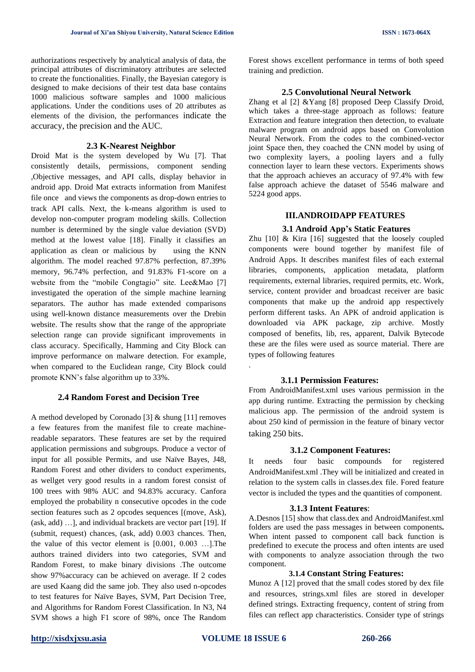authorizations respectively by analytical analysis of data, the principal attributes of discriminatory attributes are selected to create the functionalities. Finally, the Bayesian category is designed to make decisions of their test data base contains 1000 malicious software samples and 1000 malicious applications. Under the conditions uses of 20 attributes as elements of the division, the performances indicate the accuracy, the precision and the AUC.

#### **2.3 K-Nearest Neighbor**

Droid Mat is the system developed by Wu [7]. That consistently details, permissions, component sending ,Objective messages, and API calls, display behavior in android app. Droid Mat extracts information from Manifest file once and views the components as drop-down entries to track API calls. Next, the k-means algorithm is used to develop non-computer program modeling skills. Collection number is determined by the single value deviation (SVD) method at the lowest value [18]. Finally it classifies an application as clean or malicious by using the KNN algorithm. The model reached 97.87% perfection, 87.39% memory, 96.74% perfection, and 91.83% F1-score on a website from the "mobile Congtagio" site. Lee&Mao [7] investigated the operation of the simple machine learning separators. The author has made extended comparisons using well-known distance measurements over the Drebin website. The results show that the range of the appropriate selection range can provide significant improvements in class accuracy. Specifically, Hamming and City Block can improve performance on malware detection. For example, when compared to the Euclidean range, City Block could promote KNN's false algorithm up to 33%.

## **2.4 Random Forest and Decision Tree**

A method developed by Coronado [3] & shung [11] removes a few features from the manifest file to create machinereadable separators. These features are set by the required application permissions and subgroups. Produce a vector of input for all possible Permits, and use Naïve Bayes, J48, Random Forest and other dividers to conduct experiments, as wellget very good results in a random forest consist of 100 trees with 98% AUC and 94.83% accuracy. Canfora employed the probability n consecutive opcodes in the code section features such as 2 opcodes sequences [(move, Ask), (ask, add) …], and individual brackets are vector part [19]. If (submit, request) chances, (ask, add) 0.003 chances. Then, the value of this vector element is [0.001, 0.003 …].The authors trained dividers into two categories, SVM and Random Forest, to make binary divisions .The outcome show 97%accuracy can be achieved on average. If 2 codes are used Kaang did the same job. They also used n-opcodes to test features for Naïve Bayes, SVM, Part Decision Tree, and Algorithms for Random Forest Classification. In N3, N4 SVM shows a high F1 score of 98%, once The Random

Forest shows excellent performance in terms of both speed training and prediction.

#### **2.5 Convolutional Neural Network**

Zhang et al [2] &Yang [8] proposed Deep Classify Droid, which takes a three-stage approach as follows: feature Extraction and feature integration then detection, to evaluate malware program on android apps based on Convolution Neural Network. From the codes to the combined-vector joint Space then, they coached the CNN model by using of two complexity layers, a pooling layers and a fully connection layer to learn these vectors. Experiments shows that the approach achieves an accuracy of 97.4% with few false approach achieve the dataset of 5546 malware and 5224 good apps.

## **III.ANDROIDAPP FEATURES**

## **3.1 Android App's Static Features**

Zhu [10] & Kira [16] suggested that the loosely coupled components were bound together by manifest file of Android Apps. It describes manifest files of each external libraries, components, application metadata, platform requirements, external libraries, required permits, etc. Work, service, content provider and broadcast receiver are basic components that make up the android app respectively perform different tasks. An APK of android application is downloaded via APK package, zip archive. Mostly composed of benefits, lib, res, apparent, Dalvik Bytecode these are the files were used as source material. There are types of following features

#### **3.1.1 Permission Features:**

From AndroidManifest.xml uses various permission in the app during runtime. Extracting the permission by checking malicious app. The permission of the android system is about 250 kind of permission in the feature of binary vector taking 250 bits.

#### **3.1.2 Component Features:**

It needs four basic compounds for registered AndroidManifest.xml .They will be initialized and created in relation to the system calls in classes.dex file. Fored feature vector is included the types and the quantities of component.

#### **3.1.3 Intent Features**:

A.Desnos [15] show that class.dex and AndroidManifest.xml folders are used the pass messages in between components**.**  When intent passed to component call back function is predefined to execute the process and often intents are used with components to analyze association through the two component.

#### **3.1.4 Constant String Features:**

Munoz A [12] proved that the small codes stored by dex file and resources, strings.xml files are stored in developer defined strings. Extracting frequency, content of string from files can reflect app characteristics. Consider type of strings

.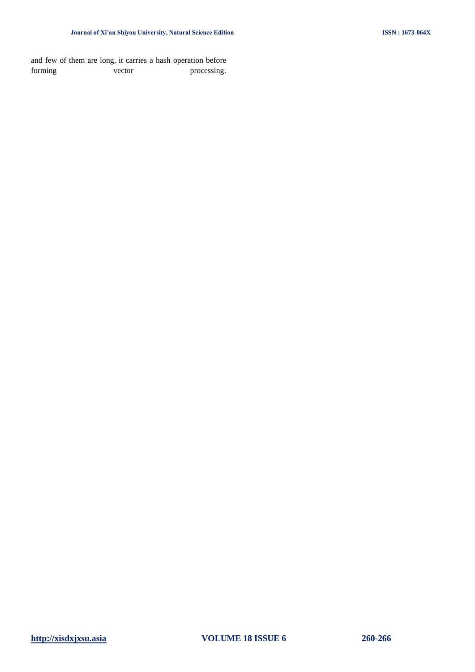and few of them are long, it carries a hash operation before forming vector processing.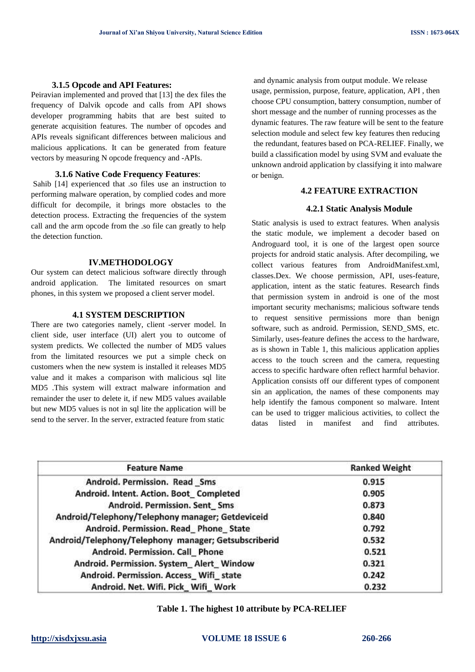#### **3.1.5 Opcode and API Features:**

Peiravian implemented and proved that [13] the dex files the frequency of Dalvik opcode and calls from API shows developer programming habits that are best suited to generate acquisition features. The number of opcodes and APIs reveals significant differences between malicious and malicious applications. It can be generated from feature vectors by measuring N opcode frequency and -APIs.

#### **3.1.6 Native Code Frequency Features**:

Sahib [14] experienced that .so files use an instruction to performing malware operation, by complied codes and more difficult for decompile, it brings more obstacles to the detection process. Extracting the frequencies of the system call and the arm opcode from the .so file can greatly to help the detection function.

#### **IV.METHODOLOGY**

Our system can detect malicious software directly through android application. The limitated resources on smart phones, in this system we proposed a client server model.

#### **4.1 SYSTEM DESCRIPTION**

There are two categories namely, client -server model. In client side, user interface (UI) alert you to outcome of system predicts. We collected the number of MD5 values from the limitated resources we put a simple check on customers when the new system is installed it releases MD5 value and it makes a comparison with malicious sql lite MD5 .This system will extract malware information and remainder the user to delete it, if new MD5 values available but new MD5 values is not in sql lite the application will be send to the server. In the server, extracted feature from static

and dynamic analysis from output module. We release usage, permission, purpose, feature, application, API , then choose CPU consumption, battery consumption, number of short message and the number of running processes as the dynamic features. The raw feature will be sent to the feature selection module and select few key features then reducing the redundant, features based on PCA-RELIEF. Finally, we build a classification model by using SVM and evaluate the unknown android application by classifying it into malware or benign.

## **4.2 FEATURE EXTRACTION**

#### **4.2.1 Static Analysis Module**

Static analysis is used to extract features. When analysis the static module, we implement a decoder based on Androguard tool, it is one of the largest open source projects for android static analysis. After decompiling, we collect various features from AndroidManifest.xml, classes.Dex. We choose permission, API, uses-feature, application, intent as the static features. Research finds that permission system in android is one of the most important security mechanisms; malicious software tends to request sensitive permissions more than benign software, such as android. Permission, SEND\_SMS, etc. Similarly, uses-feature defines the access to the hardware, as is shown in Table 1, this malicious application applies access to the touch screen and the camera, requesting access to specific hardware often reflect harmful behavior. Application consists off our different types of component sin an application, the names of these components may help identify the famous component so malware. Intent can be used to trigger malicious activities, to collect the datas listed in manifest and find attributes.

| <b>Feature Name</b>                                  | <b>Ranked Weight</b> |
|------------------------------------------------------|----------------------|
| Android. Permission. Read Sms                        | 0.915                |
| Android. Intent. Action. Boot_Completed              | 0.905                |
| Android. Permission. Sent Sms                        | 0.873                |
| Android/Telephony/Telephony manager; Getdeviceid     | 0.840                |
| Android. Permission. Read_Phone_State                | 0.792                |
| Android/Telephony/Telephony manager; Getsubscriberid | 0.532                |
| Android. Permission. Call_Phone                      | 0.521                |
| Android. Permission. System_Alert_Window             | 0.321                |
| Android. Permission. Access_Wifi_state               | 0.242                |
| Android. Net. Wifi. Pick_Wifi_Work                   | 0.232                |

#### **Table 1. The highest 10 attribute by PCA-RELIEF**

## **[http://xisdxjxsu.asia](http://xisdxjxsu.asia/) VOLUME 18 ISSUE 6 260-266**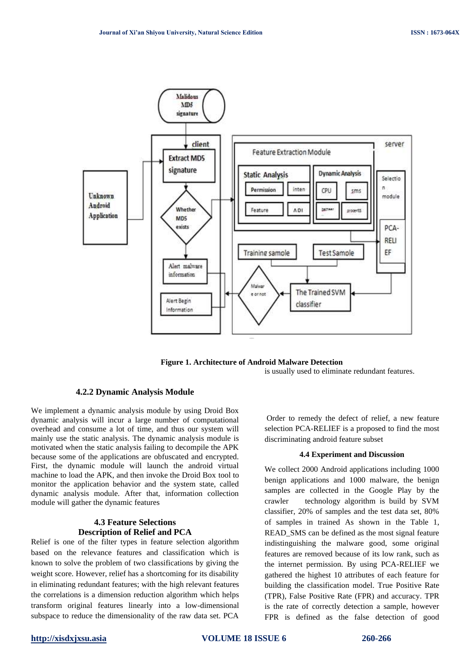

**Figure 1. Architecture of Android Malware Detection** is usually used to eliminate redundant features.

## **4.2.2 Dynamic Analysis Module**

We implement a dynamic analysis module by using Droid Box dynamic analysis will incur a large number of computational overhead and consume a lot of time, and thus our system will mainly use the static analysis. The dynamic analysis module is motivated when the static analysis failing to decompile the APK because some of the applications are obfuscated and encrypted. First, the dynamic module will launch the android virtual machine to load the APK, and then invoke the Droid Box tool to monitor the application behavior and the system state, called dynamic analysis module. After that, information collection module will gather the dynamic features

## **4.3 Feature Selections Description of Relief and PCA**

Relief is one of the filter types in feature selection algorithm based on the relevance features and classification which is known to solve the problem of two classifications by giving the weight score. However, relief has a shortcoming for its disability in eliminating redundant features; with the high relevant features the correlations is a dimension reduction algorithm which helps transform original features linearly into a low-dimensional subspace to reduce the dimensionality of the raw data set. PCA

Order to remedy the defect of relief, a new feature selection PCA-RELIEF is a proposed to find the most discriminating android feature subset

#### **4.4 Experiment and Discussion**

We collect 2000 Android applications including 1000 benign applications and 1000 malware, the benign samples are collected in the Google Play by the crawler technology algorithm is build by SVM classifier, 20% of samples and the test data set, 80% of samples in trained As shown in the Table 1, READ SMS can be defined as the most signal feature indistinguishing the malware good, some original features are removed because of its low rank, such as the internet permission. By using PCA-RELIEF we gathered the highest 10 attributes of each feature for building the classification model. True Positive Rate (TPR), False Positive Rate (FPR) and accuracy. TPR is the rate of correctly detection a sample, however FPR is defined as the false detection of good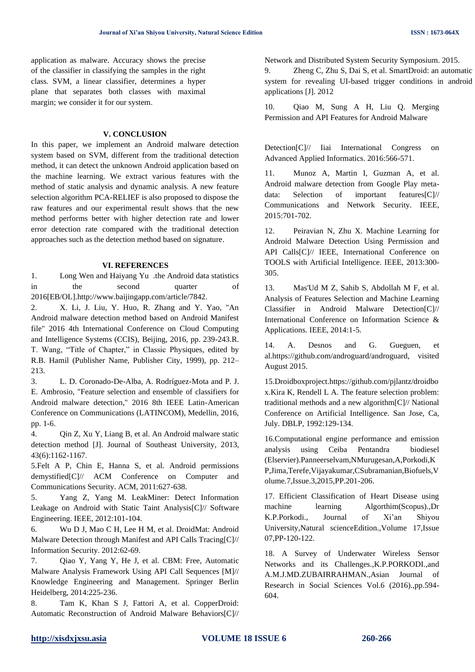application as malware. Accuracy shows the precise of the classifier in classifying the samples in the right class. SVM, a linear classifier, determines a hyper plane that separates both classes with maximal margin; we consider it for our system.

#### **V. CONCLUSION**

In this paper, we implement an Android malware detection system based on SVM, different from the traditional detection method, it can detect the unknown Android application based on the machine learning. We extract various features with the method of static analysis and dynamic analysis. A new feature selection algorithm PCA-RELIEF is also proposed to dispose the raw features and our experimental result shows that the new method performs better with higher detection rate and lower error detection rate compared with the traditional detection approaches such as the detection method based on signature.

#### **VI. REFERENCES**

1. Long Wen and Haiyang Yu .the Android data statistics in the second quarter of 2016[EB/OL].http://www.baijingapp.com/article/7842.

2. X. Li, J. Liu, Y. Huo, R. Zhang and Y. Yao, "An Android malware detection method based on Android Manifest file" 2016 4th International Conference on Cloud Computing and Intelligence Systems (CCIS), Beijing, 2016, pp. 239-243.R. T. Wang, "Title of Chapter," in Classic Physiques, edited by R.B. Hamil (Publisher Name, Publisher City, 1999), pp. 212– 213.

3. L. D. Coronado-De-Alba, A. Rodríguez-Mota and P. J. E. Ambrosio, "Feature selection and ensemble of classifiers for Android malware detection," 2016 8th IEEE Latin-American Conference on Communications (LATINCOM), Medellin, 2016, pp. 1-6.

4. Qin Z, Xu Y, Liang B, et al. An Android malware static detection method [J]. Journal of Southeast University, 2013, 43(6):1162-1167.

5.Felt A P, Chin E, Hanna S, et al. Android permissions demystified[C]// ACM Conference on Computer and Communications Security. ACM, 2011:627-638.

5. Yang Z, Yang M. LeakMiner: Detect Information Leakage on Android with Static Taint Analysis[C]// Software Engineering. IEEE, 2012:101-104.

6. Wu D J, Mao C H, Lee H M, et al. DroidMat: Android Malware Detection through Manifest and API Calls Tracing[C]// Information Security. 2012:62-69.

7. Qiao Y, Yang Y, He J, et al. CBM: Free, Automatic Malware Analysis Framework Using API Call Sequences [M]// Knowledge Engineering and Management. Springer Berlin Heidelberg, 2014:225-236.

8. Tam K, Khan S J, Fattori A, et al. CopperDroid: Automatic Reconstruction of Android Malware Behaviors[C]// Network and Distributed System Security Symposium. 2015. 9. Zheng C, Zhu S, Dai S, et al. SmartDroid: an automatic system for revealing UI-based trigger conditions in android

10. Qiao M, Sung A H, Liu Q. Merging Permission and API Features for Android Malware

applications [J]. 2012

Detection[C]// Iiai International Congress on Advanced Applied Informatics. 2016:566-571.

11. Munoz A, Martin I, Guzman A, et al. Android malware detection from Google Play metadata: Selection of important features[C]// Communications and Network Security. IEEE, 2015:701-702.

12. Peiravian N, Zhu X. Machine Learning for Android Malware Detection Using Permission and API Calls[C]// IEEE, International Conference on TOOLS with Artificial Intelligence. IEEE, 2013:300- 305.

13. Mas'Ud M Z, Sahib S, Abdollah M F, et al. Analysis of Features Selection and Machine Learning Classifier in Android Malware Detection[C]// International Conference on Information Science & Applications. IEEE, 2014:1-5.

14. A. Desnos and G. Gueguen, et al.https://github.com/androguard/androguard, visited August 2015.

15.Droidboxproject.https://github.com/pjlantz/droidbo x.Kira K, Rendell L A. The feature selection problem: traditional methods and a new algorithm[C]// National Conference on Artificial Intelligence. San Jose, Ca, July. DBLP, 1992:129-134.

16.Computational engine performance and emission analysis using Ceiba Pentandra biodiesel (Elservier).Panneerselvam,NMurugesan,A,Porkodi,K P,Jima,Terefe,Vijayakumar,CSubramanian,Biofuels,V olume.7,Issue.3,2015,PP.201-206.

17. Efficient Classification of Heart Disease using machine learning Algorthim(Scopus).,Dr K.P.Porkodi., Journal of Xi'an Shiyou University,Natural scienceEdition.,Volume 17,Issue 07,PP-120-122.

18. A Survey of Underwater Wireless Sensor Networks and its Challenges.,K.P.PORKODI.,and A.M.J.MD.ZUBAIRRAHMAN.,Asian Journal of Research in Social Sciences Vol.6 (2016).,pp.594- 604.